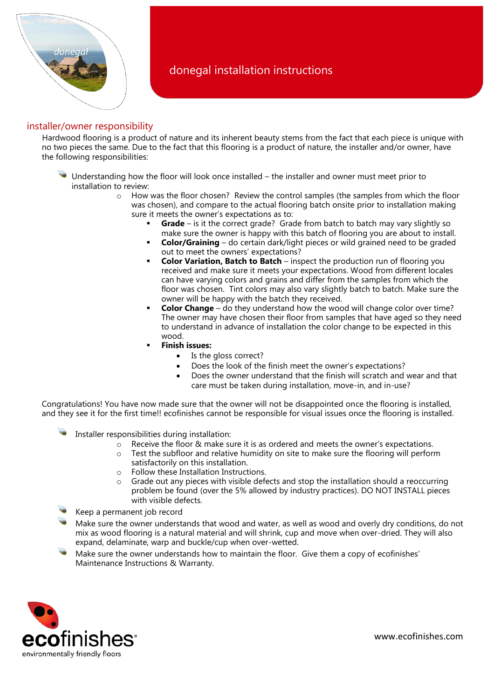

# donegal installation instructions

# installer/owner responsibility

Hardwood flooring is a product of nature and its inherent beauty stems from the fact that each piece is unique with no two pieces the same. Due to the fact that this flooring is a product of nature, the installer and/or owner, have the following responsibilities:

- Understanding how the floor will look once installed the installer and owner must meet prior to installation to review:
	- $\circ$  How was the floor chosen? Review the control samples (the samples from which the floor was chosen), and compare to the actual flooring batch onsite prior to installation making sure it meets the owner's expectations as to:
		- **Grade** is it the correct grade? Grade from batch to batch may vary slightly so make sure the owner is happy with this batch of flooring you are about to install.
		- **Color/Graining** do certain dark/light pieces or wild grained need to be graded out to meet the owners' expectations?
		- **Color Variation, Batch to Batch** inspect the production run of flooring you received and make sure it meets your expectations. Wood from different locales can have varying colors and grains and differ from the samples from which the floor was chosen. Tint colors may also vary slightly batch to batch. Make sure the owner will be happy with the batch they received.
		- **Color Change** do they understand how the wood will change color over time? The owner may have chosen their floor from samples that have aged so they need to understand in advance of installation the color change to be expected in this wood.
		- **Finish issues:**
			- Is the gloss correct?
			- Does the look of the finish meet the owner's expectations?
			- Does the owner understand that the finish will scratch and wear and that care must be taken during installation, move-in, and in-use?

Congratulations! You have now made sure that the owner will not be disappointed once the flooring is installed, and they see it for the first time!! ecofinishes cannot be responsible for visual issues once the flooring is installed.

- Installer responsibilities during installation:
	- $\circ$  Receive the floor & make sure it is as ordered and meets the owner's expectations.
	- $\circ$  Test the subfloor and relative humidity on site to make sure the flooring will perform satisfactorily on this installation.
	- o Follow these Installation Instructions.
	- $\circ$  Grade out any pieces with visible defects and stop the installation should a reoccurring problem be found (over the 5% allowed by industry practices). DO NOT INSTALL pieces with visible defects.
- Keep a permanent job record
- Make sure the owner understands that wood and water, as well as wood and overly dry conditions, do not mix as wood flooring is a natural material and will shrink, cup and move when over-dried. They will also expand, delaminate, warp and buckle/cup when over-wetted.
- Make sure the owner understands how to maintain the floor. Give them a copy of ecofinishes' Maintenance Instructions & Warranty.

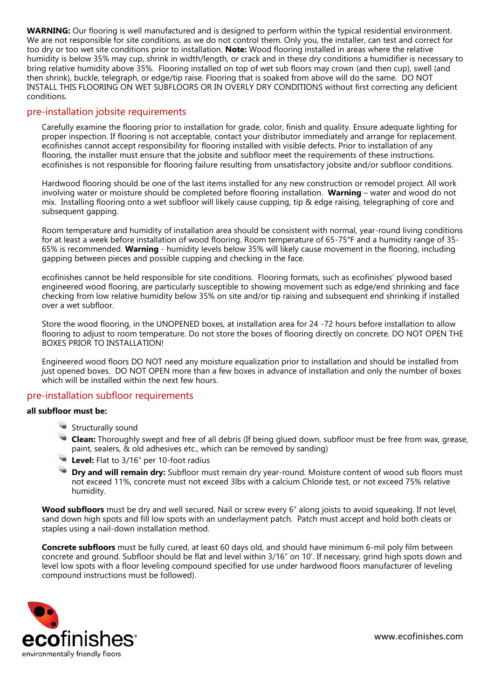**WARNING:** Our flooring is well manufactured and is designed to perform within the typical residential environment. We are not responsible for site conditions, as we do not control them. Only you, the installer, can test and correct for too dry or too wet site conditions prior to installation. **Note:** Wood flooring installed in areas where the relative humidity is below 35% may cup, shrink in width/length, or crack and in these dry conditions a humidifier is necessary to bring relative humidity above 35%. Flooring installed on top of wet sub floors may crown (and then cup), swell (and then shrink), buckle, telegraph, or edge/tip raise. Flooring that is soaked from above will do the same. DO NOT INSTALL THIS FLOORING ON WET SUBFLOORS OR IN OVERLY DRY CONDITIONS without first correcting any deficient conditions.

## pre-installation jobsite requirements

Carefully examine the flooring prior to installation for grade, color, finish and quality. Ensure adequate lighting for proper inspection. If flooring is not acceptable, contact your distributor immediately and arrange for replacement. ecofinishes cannot accept responsibility for flooring installed with visible defects. Prior to installation of any flooring, the installer must ensure that the jobsite and subfloor meet the requirements of these instructions. ecofinishes is not responsible for flooring failure resulting from unsatisfactory jobsite and/or subfloor conditions.

Hardwood flooring should be one of the last items installed for any new construction or remodel project. All work involving water or moisture should be completed before flooring installation. **Warning** – water and wood do not mix. Installing flooring onto a wet subfloor will likely cause cupping, tip & edge raising, telegraphing of core and subsequent gapping.

Room temperature and humidity of installation area should be consistent with normal, year-round living conditions for at least a week before installation of wood flooring. Room temperature of 65-75°F and a humidity range of 35- 65% is recommended. **Warning** - humidity levels below 35% will likely cause movement in the flooring, including gapping between pieces and possible cupping and checking in the face.

ecofinishes cannot be held responsible for site conditions. Flooring formats, such as ecofinishes' plywood based engineered wood flooring, are particularly susceptible to showing movement such as edge/end shrinking and face checking from low relative humidity below 35% on site and/or tip raising and subsequent end shrinking if installed over a wet subfloor.

Store the wood flooring, in the UNOPENED boxes, at installation area for 24 -72 hours before installation to allow flooring to adjust to room temperature. Do not store the boxes of flooring directly on concrete. DO NOT OPEN THE BOXES PRIOR TO INSTALLATION!

Engineered wood floors DO NOT need any moisture equalization prior to installation and should be installed from just opened boxes. DO NOT OPEN more than a few boxes in advance of installation and only the number of boxes which will be installed within the next few hours.

# pre-installation subfloor requirements

#### **all subfloor must be:**

- Structurally sound
- **Clean:** Thoroughly swept and free of all debris (If being glued down, subfloor must be free from wax, grease, paint, sealers, & old adhesives etc., which can be removed by sanding)
- **Level:** Flat to 3/16" per 10-foot radius
- **Dry and will remain dry:** Subfloor must remain dry year-round. Moisture content of wood sub floors must not exceed 11%, concrete must not exceed 3lbs with a calcium Chloride test, or not exceed 75% relative humidity.

**Wood subfloors** must be dry and well secured. Nail or screw every 6" along joists to avoid squeaking. If not level, sand down high spots and fill low spots with an underlayment patch. Patch must accept and hold both cleats or staples using a nail-down installation method.

**Concrete subfloors** must be fully cured, at least 60 days old, and should have minimum 6-mil poly film between concrete and ground. Subfloor should be flat and level within 3/16" on 10'. If necessary, grind high spots down and level low spots with a floor leveling compound specified for use under hardwood floors manufacturer of leveling compound instructions must be followed).

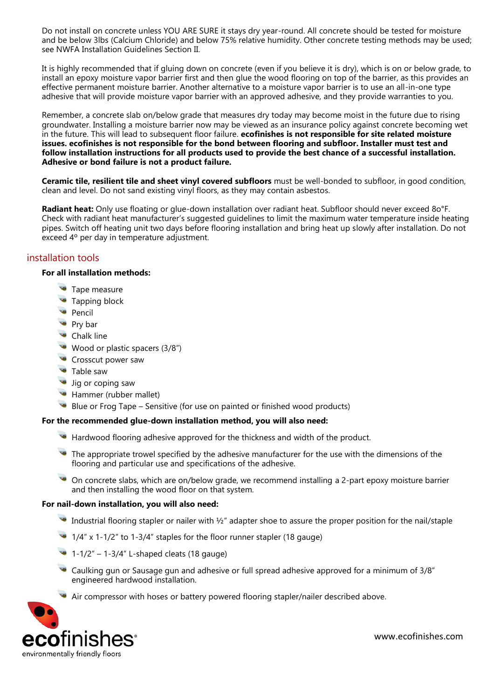Do not install on concrete unless YOU ARE SURE it stays dry year-round. All concrete should be tested for moisture and be below 3lbs (Calcium Chloride) and below 75% relative humidity. Other concrete testing methods may be used; see NWFA Installation Guidelines Section II.

It is highly recommended that if gluing down on concrete (even if you believe it is dry), which is on or below grade, to install an epoxy moisture vapor barrier first and then glue the wood flooring on top of the barrier, as this provides an effective permanent moisture barrier. Another alternative to a moisture vapor barrier is to use an all-in-one type adhesive that will provide moisture vapor barrier with an approved adhesive, and they provide warranties to you.

Remember, a concrete slab on/below grade that measures dry today may become moist in the future due to rising groundwater. Installing a moisture barrier now may be viewed as an insurance policy against concrete becoming wet in the future. This will lead to subsequent floor failure. **ecofinishes is not responsible for site related moisture issues. ecofinishes is not responsible for the bond between flooring and subfloor. Installer must test and follow installation instructions for all products used to provide the best chance of a successful installation. Adhesive or bond failure is not a product failure.** 

**Ceramic tile, resilient tile and sheet vinyl covered subfloors** must be well-bonded to subfloor, in good condition, clean and level. Do not sand existing vinyl floors, as they may contain asbestos.

**Radiant heat:** Only use floating or glue-down installation over radiant heat. Subfloor should never exceed 8o°F. Check with radiant heat manufacturer's suggested guidelines to limit the maximum water temperature inside heating pipes. Switch off heating unit two days before flooring installation and bring heat up slowly after installation. Do not exceed 4º per day in temperature adjustment.

# installation tools

## **For all installation methods:**

- Tape measure
- Tapping block
- Pencil
- **Pry bar**
- Chalk line
- Wood or plastic spacers (3/8")
- Crosscut power saw
- **Table saw**
- **Jig or coping saw**
- **Hammer (rubber mallet)**
- $\bullet$  Blue or Frog Tape Sensitive (for use on painted or finished wood products)

## **For the recommended glue-down installation method, you will also need:**

- Hardwood flooring adhesive approved for the thickness and width of the product.
- $\bullet$  The appropriate trowel specified by the adhesive manufacturer for the use with the dimensions of the flooring and particular use and specifications of the adhesive.
- On concrete slabs, which are on/below grade, we recommend installing a 2-part epoxy moisture barrier and then installing the wood floor on that system.

#### **For nail-down installation, you will also need:**

- Industrial flooring stapler or nailer with  $\frac{1}{2}$ " adapter shoe to assure the proper position for the nail/staple
- 1/4" x 1-1/2" to 1-3/4" staples for the floor runner stapler (18 gauge)
- 1-1/2" 1-3/4" L-shaped cleats (18 gauge)
- Caulking gun or Sausage gun and adhesive or full spread adhesive approved for a minimum of 3/8" engineered hardwood installation.
- Air compressor with hoses or battery powered flooring stapler/nailer described above.

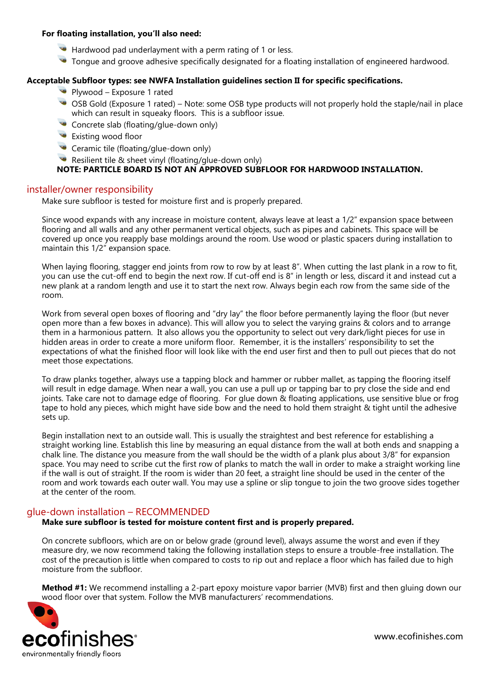#### **For floating installation, you'll also need:**

- Hardwood pad underlayment with a perm rating of 1 or less.
- Tongue and groove adhesive specifically designated for a floating installation of engineered hardwood.

#### **Acceptable Subfloor types: see NWFA Installation guidelines section II for specific specifications.**

- Plywood Exposure 1 rated
- OSB Gold (Exposure 1 rated) Note: some OSB type products will not properly hold the staple/nail in place which can result in squeaky floors. This is a subfloor issue.
- Concrete slab (floating/glue-down only)
- Existing wood floor
- Ceramic tile (floating/glue-down only)
- Resilient tile & sheet vinyl (floating/glue-down only)

## **NOTE: PARTICLE BOARD IS NOT AN APPROVED SUBFLOOR FOR HARDWOOD INSTALLATION.**

#### installer/owner responsibility

Make sure subfloor is tested for moisture first and is properly prepared.

Since wood expands with any increase in moisture content, always leave at least a 1/2" expansion space between flooring and all walls and any other permanent vertical objects, such as pipes and cabinets. This space will be covered up once you reapply base moldings around the room. Use wood or plastic spacers during installation to maintain this 1/2" expansion space.

When laying flooring, stagger end joints from row to row by at least 8". When cutting the last plank in a row to fit, you can use the cut-off end to begin the next row. If cut-off end is 8" in length or less, discard it and instead cut a new plank at a random length and use it to start the next row. Always begin each row from the same side of the room.

Work from several open boxes of flooring and "dry lay" the floor before permanently laying the floor (but never open more than a few boxes in advance). This will allow you to select the varying grains & colors and to arrange them in a harmonious pattern. It also allows you the opportunity to select out very dark/light pieces for use in hidden areas in order to create a more uniform floor. Remember, it is the installers' responsibility to set the expectations of what the finished floor will look like with the end user first and then to pull out pieces that do not meet those expectations.

To draw planks together, always use a tapping block and hammer or rubber mallet, as tapping the flooring itself will result in edge damage. When near a wall, you can use a pull up or tapping bar to pry close the side and end joints. Take care not to damage edge of flooring. For glue down & floating applications, use sensitive blue or frog tape to hold any pieces, which might have side bow and the need to hold them straight & tight until the adhesive sets up.

Begin installation next to an outside wall. This is usually the straightest and best reference for establishing a straight working line. Establish this line by measuring an equal distance from the wall at both ends and snapping a chalk line. The distance you measure from the wall should be the width of a plank plus about 3/8" for expansion space. You may need to scribe cut the first row of planks to match the wall in order to make a straight working line if the wall is out of straight. If the room is wider than 20 feet, a straight line should be used in the center of the room and work towards each outer wall. You may use a spline or slip tongue to join the two groove sides together at the center of the room.

## glue-down installation – RECOMMENDED

#### **Make sure subfloor is tested for moisture content first and is properly prepared.**

On concrete subfloors, which are on or below grade (ground level), always assume the worst and even if they measure dry, we now recommend taking the following installation steps to ensure a trouble-free installation. The cost of the precaution is little when compared to costs to rip out and replace a floor which has failed due to high moisture from the subfloor.

**Method #1:** We recommend installing a 2-part epoxy moisture vapor barrier (MVB) first and then gluing down our wood floor over that system. Follow the MVB manufacturers' recommendations.

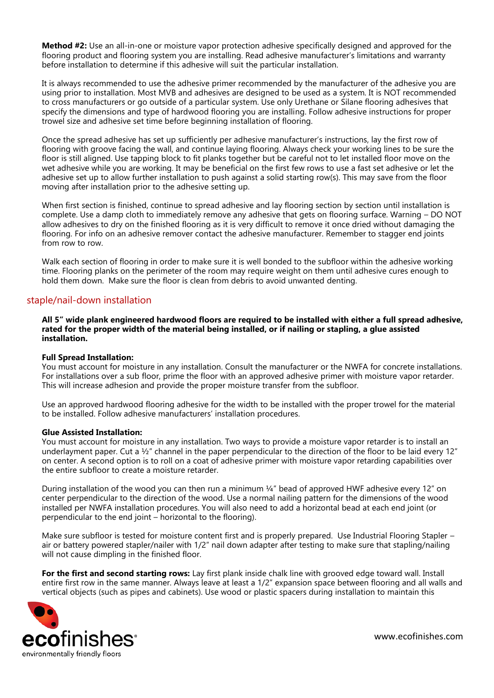**Method #2:** Use an all-in-one or moisture vapor protection adhesive specifically designed and approved for the flooring product and flooring system you are installing. Read adhesive manufacturer's limitations and warranty before installation to determine if this adhesive will suit the particular installation.

It is always recommended to use the adhesive primer recommended by the manufacturer of the adhesive you are using prior to installation. Most MVB and adhesives are designed to be used as a system. It is NOT recommended to cross manufacturers or go outside of a particular system. Use only Urethane or Silane flooring adhesives that specify the dimensions and type of hardwood flooring you are installing. Follow adhesive instructions for proper trowel size and adhesive set time before beginning installation of flooring.

Once the spread adhesive has set up sufficiently per adhesive manufacturer's instructions, lay the first row of flooring with groove facing the wall, and continue laying flooring. Always check your working lines to be sure the floor is still aligned. Use tapping block to fit planks together but be careful not to let installed floor move on the wet adhesive while you are working. It may be beneficial on the first few rows to use a fast set adhesive or let the adhesive set up to allow further installation to push against a solid starting row(s). This may save from the floor moving after installation prior to the adhesive setting up.

When first section is finished, continue to spread adhesive and lay flooring section by section until installation is complete. Use a damp cloth to immediately remove any adhesive that gets on flooring surface. Warning – DO NOT allow adhesives to dry on the finished flooring as it is very difficult to remove it once dried without damaging the flooring. For info on an adhesive remover contact the adhesive manufacturer. Remember to stagger end joints from row to row.

Walk each section of flooring in order to make sure it is well bonded to the subfloor within the adhesive working time. Flooring planks on the perimeter of the room may require weight on them until adhesive cures enough to hold them down. Make sure the floor is clean from debris to avoid unwanted denting.

## staple/nail-down installation

**All 5" wide plank engineered hardwood floors are required to be installed with either a full spread adhesive, rated for the proper width of the material being installed, or if nailing or stapling, a glue assisted installation.** 

#### **Full Spread Installation:**

You must account for moisture in any installation. Consult the manufacturer or the NWFA for concrete installations. For installations over a sub floor, prime the floor with an approved adhesive primer with moisture vapor retarder. This will increase adhesion and provide the proper moisture transfer from the subfloor.

Use an approved hardwood flooring adhesive for the width to be installed with the proper trowel for the material to be installed. Follow adhesive manufacturers' installation procedures.

#### **Glue Assisted Installation:**

You must account for moisture in any installation. Two ways to provide a moisture vapor retarder is to install an underlayment paper. Cut a  $\frac{1}{2}$ " channel in the paper perpendicular to the direction of the floor to be laid every 12" on center. A second option is to roll on a coat of adhesive primer with moisture vapor retarding capabilities over the entire subfloor to create a moisture retarder.

During installation of the wood you can then run a minimum ¼" bead of approved HWF adhesive every 12" on center perpendicular to the direction of the wood. Use a normal nailing pattern for the dimensions of the wood installed per NWFA installation procedures. You will also need to add a horizontal bead at each end joint (or perpendicular to the end joint – horizontal to the flooring).

Make sure subfloor is tested for moisture content first and is properly prepared. Use Industrial Flooring Stapler – air or battery powered stapler/nailer with 1/2" nail down adapter after testing to make sure that stapling/nailing will not cause dimpling in the finished floor.

**For the first and second starting rows:** Lay first plank inside chalk line with grooved edge toward wall. Install entire first row in the same manner. Always leave at least a 1/2" expansion space between flooring and all walls and vertical objects (such as pipes and cabinets). Use wood or plastic spacers during installation to maintain this